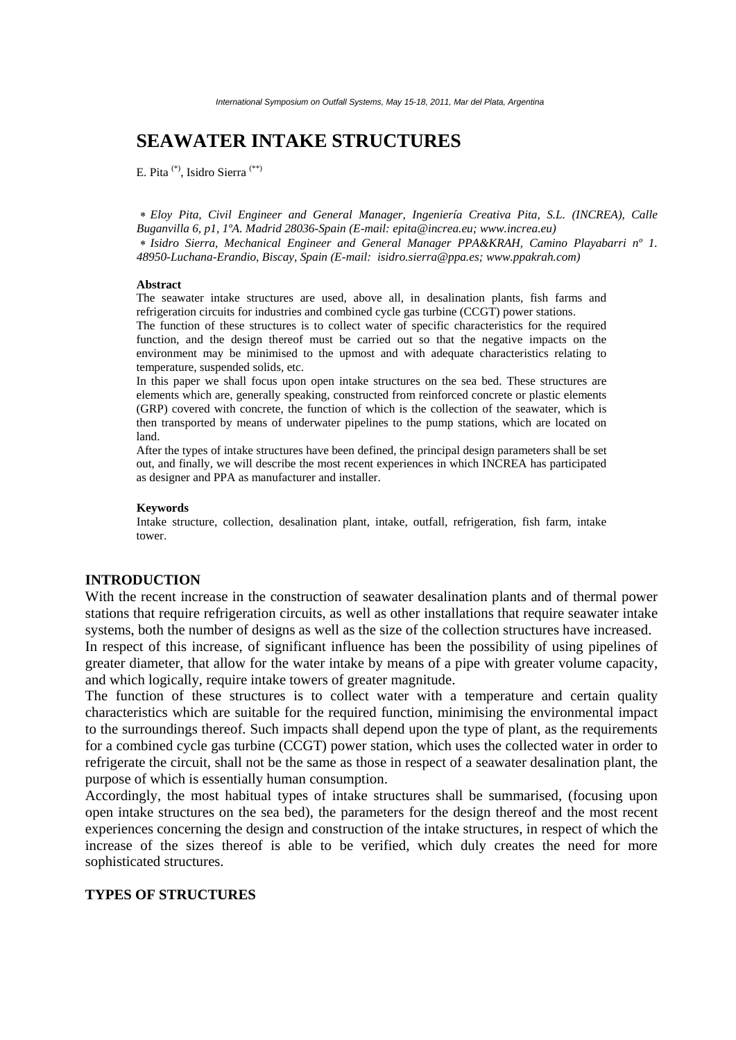# **SEAWATER INTAKE STRUCTURES**

E. Pita (\*), Isidro Sierra (\*\*)

∗ *Eloy Pita, Civil Engineer and General Manager, Ingeniería Creativa Pita, S.L. (INCREA), Calle Buganvilla 6, p1, 1ºA. Madrid 28036-Spain (E-mail: epita@increa.eu; www.increa.eu)*  ∗ *Isidro Sierra, Mechanical Engineer and General Manager PPA&KRAH, Camino Playabarri nº 1. 48950-Luchana-Erandio, Biscay, Spain (E-mail: isidro.sierra@ppa.es; www.ppakrah.com)* 

#### **Abstract**

The seawater intake structures are used, above all, in desalination plants, fish farms and refrigeration circuits for industries and combined cycle gas turbine (CCGT) power stations.

The function of these structures is to collect water of specific characteristics for the required function, and the design thereof must be carried out so that the negative impacts on the environment may be minimised to the upmost and with adequate characteristics relating to temperature, suspended solids, etc.

In this paper we shall focus upon open intake structures on the sea bed. These structures are elements which are, generally speaking, constructed from reinforced concrete or plastic elements (GRP) covered with concrete, the function of which is the collection of the seawater, which is then transported by means of underwater pipelines to the pump stations, which are located on land.

After the types of intake structures have been defined, the principal design parameters shall be set out, and finally, we will describe the most recent experiences in which INCREA has participated as designer and PPA as manufacturer and installer.

#### **Keywords**

Intake structure, collection, desalination plant, intake, outfall, refrigeration, fish farm, intake tower.

#### **INTRODUCTION**

With the recent increase in the construction of seawater desalination plants and of thermal power stations that require refrigeration circuits, as well as other installations that require seawater intake systems, both the number of designs as well as the size of the collection structures have increased.

In respect of this increase, of significant influence has been the possibility of using pipelines of greater diameter, that allow for the water intake by means of a pipe with greater volume capacity, and which logically, require intake towers of greater magnitude.

The function of these structures is to collect water with a temperature and certain quality characteristics which are suitable for the required function, minimising the environmental impact to the surroundings thereof. Such impacts shall depend upon the type of plant, as the requirements for a combined cycle gas turbine (CCGT) power station, which uses the collected water in order to refrigerate the circuit, shall not be the same as those in respect of a seawater desalination plant, the purpose of which is essentially human consumption.

Accordingly, the most habitual types of intake structures shall be summarised, (focusing upon open intake structures on the sea bed), the parameters for the design thereof and the most recent experiences concerning the design and construction of the intake structures, in respect of which the increase of the sizes thereof is able to be verified, which duly creates the need for more sophisticated structures.

#### **TYPES OF STRUCTURES**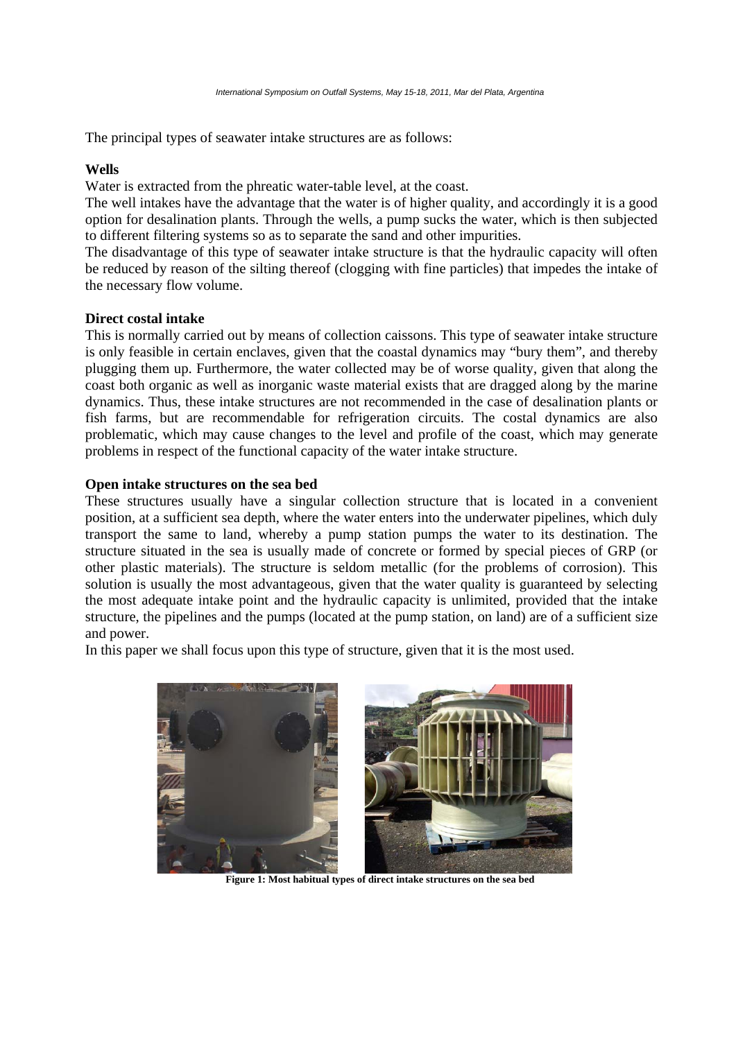The principal types of seawater intake structures are as follows:

### **Wells**

Water is extracted from the phreatic water-table level, at the coast.

The well intakes have the advantage that the water is of higher quality, and accordingly it is a good option for desalination plants. Through the wells, a pump sucks the water, which is then subjected to different filtering systems so as to separate the sand and other impurities.

The disadvantage of this type of seawater intake structure is that the hydraulic capacity will often be reduced by reason of the silting thereof (clogging with fine particles) that impedes the intake of the necessary flow volume.

# **Direct costal intake**

This is normally carried out by means of collection caissons. This type of seawater intake structure is only feasible in certain enclaves, given that the coastal dynamics may "bury them", and thereby plugging them up. Furthermore, the water collected may be of worse quality, given that along the coast both organic as well as inorganic waste material exists that are dragged along by the marine dynamics. Thus, these intake structures are not recommended in the case of desalination plants or fish farms, but are recommendable for refrigeration circuits. The costal dynamics are also problematic, which may cause changes to the level and profile of the coast, which may generate problems in respect of the functional capacity of the water intake structure.

# **Open intake structures on the sea bed**

These structures usually have a singular collection structure that is located in a convenient position, at a sufficient sea depth, where the water enters into the underwater pipelines, which duly transport the same to land, whereby a pump station pumps the water to its destination. The structure situated in the sea is usually made of concrete or formed by special pieces of GRP (or other plastic materials). The structure is seldom metallic (for the problems of corrosion). This solution is usually the most advantageous, given that the water quality is guaranteed by selecting the most adequate intake point and the hydraulic capacity is unlimited, provided that the intake structure, the pipelines and the pumps (located at the pump station, on land) are of a sufficient size and power.

In this paper we shall focus upon this type of structure, given that it is the most used.



**Figure 1: Most habitual types of direct intake structures on the sea bed**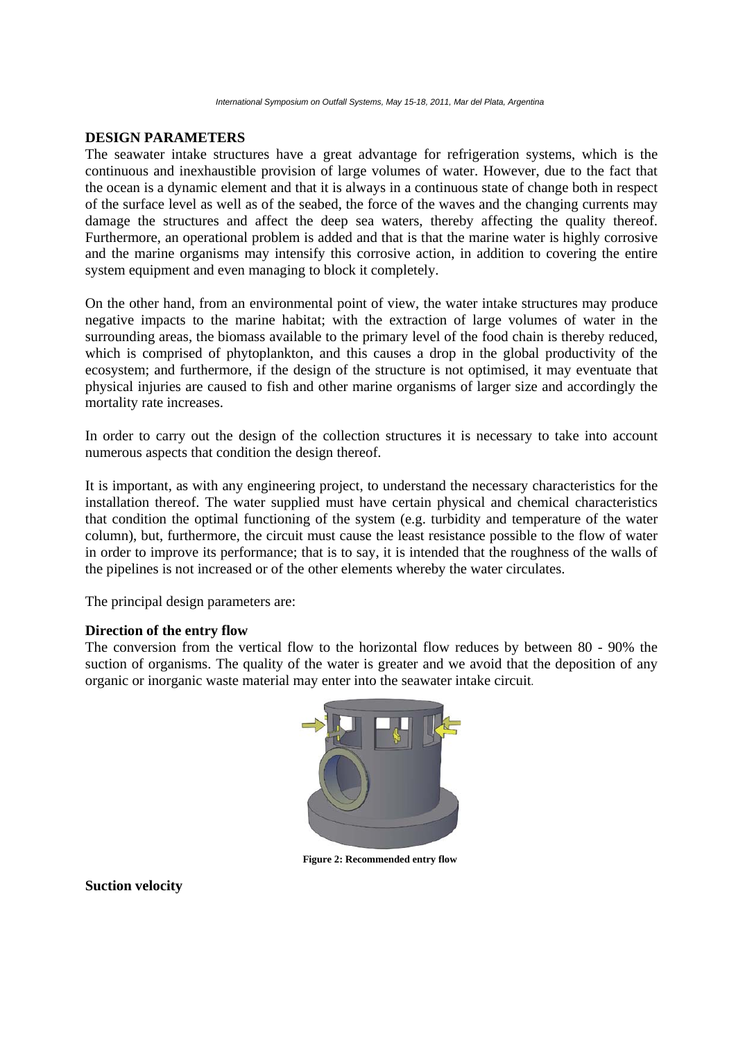# **DESIGN PARAMETERS**

The seawater intake structures have a great advantage for refrigeration systems, which is the continuous and inexhaustible provision of large volumes of water. However, due to the fact that the ocean is a dynamic element and that it is always in a continuous state of change both in respect of the surface level as well as of the seabed, the force of the waves and the changing currents may damage the structures and affect the deep sea waters, thereby affecting the quality thereof. Furthermore, an operational problem is added and that is that the marine water is highly corrosive and the marine organisms may intensify this corrosive action, in addition to covering the entire system equipment and even managing to block it completely.

On the other hand, from an environmental point of view, the water intake structures may produce negative impacts to the marine habitat; with the extraction of large volumes of water in the surrounding areas, the biomass available to the primary level of the food chain is thereby reduced, which is comprised of phytoplankton, and this causes a drop in the global productivity of the ecosystem; and furthermore, if the design of the structure is not optimised, it may eventuate that physical injuries are caused to fish and other marine organisms of larger size and accordingly the mortality rate increases.

In order to carry out the design of the collection structures it is necessary to take into account numerous aspects that condition the design thereof.

It is important, as with any engineering project, to understand the necessary characteristics for the installation thereof. The water supplied must have certain physical and chemical characteristics that condition the optimal functioning of the system (e.g. turbidity and temperature of the water column), but, furthermore, the circuit must cause the least resistance possible to the flow of water in order to improve its performance; that is to say, it is intended that the roughness of the walls of the pipelines is not increased or of the other elements whereby the water circulates.

The principal design parameters are:

### **Direction of the entry flow**

The conversion from the vertical flow to the horizontal flow reduces by between 80 - 90% the suction of organisms. The quality of the water is greater and we avoid that the deposition of any organic or inorganic waste material may enter into the seawater intake circuit.



**Figure 2: Recommended entry flow** 

**Suction velocity**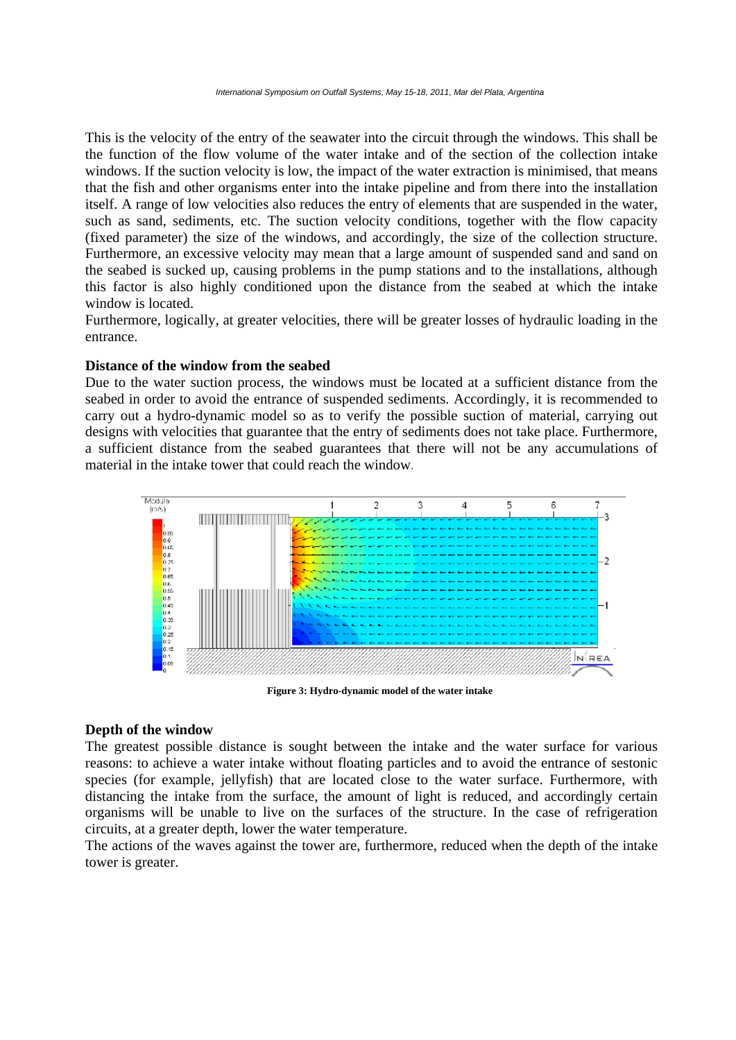This is the velocity of the entry of the seawater into the circuit through the windows. This shall be the function of the flow volume of the water intake and of the section of the collection intake windows. If the suction velocity is low, the impact of the water extraction is minimised, that means that the fish and other organisms enter into the intake pipeline and from there into the installation itself. A range of low velocities also reduces the entry of elements that are suspended in the water, such as sand, sediments, etc. The suction velocity conditions, together with the flow capacity (fixed parameter) the size of the windows, and accordingly, the size of the collection structure. Furthermore, an excessive velocity may mean that a large amount of suspended sand and sand on the seabed is sucked up, causing problems in the pump stations and to the installations, although this factor is also highly conditioned upon the distance from the seabed at which the intake window is located.

Furthermore, logically, at greater velocities, there will be greater losses of hydraulic loading in the entrance.

### **Distance of the window from the seabed**

Due to the water suction process, the windows must be located at a sufficient distance from the seabed in order to avoid the entrance of suspended sediments. Accordingly, it is recommended to carry out a hydro-dynamic model so as to verify the possible suction of material, carrying out designs with velocities that guarantee that the entry of sediments does not take place. Furthermore, a sufficient distance from the seabed guarantees that there will not be any accumulations of material in the intake tower that could reach the window.



**Figure 3: Hydro-dynamic model of the water intake** 

#### **Depth of the window**

The greatest possible distance is sought between the intake and the water surface for various reasons: to achieve a water intake without floating particles and to avoid the entrance of sestonic species (for example, jellyfish) that are located close to the water surface. Furthermore, with distancing the intake from the surface, the amount of light is reduced, and accordingly certain organisms will be unable to live on the surfaces of the structure. In the case of refrigeration circuits, at a greater depth, lower the water temperature.

The actions of the waves against the tower are, furthermore, reduced when the depth of the intake tower is greater.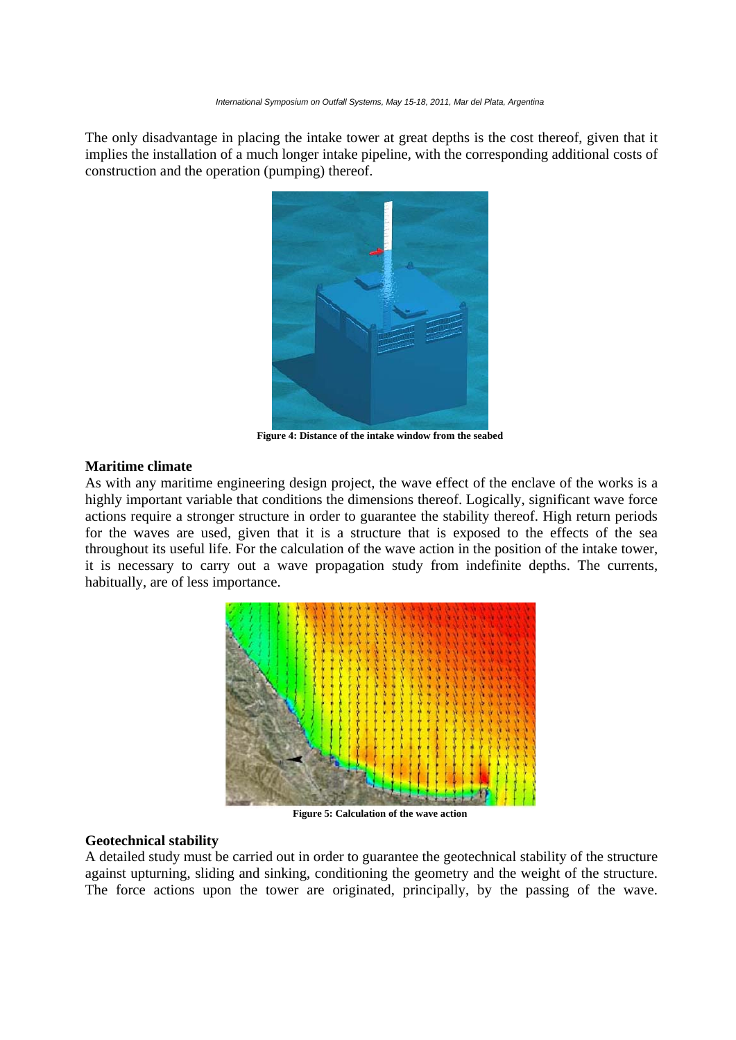The only disadvantage in placing the intake tower at great depths is the cost thereof, given that it implies the installation of a much longer intake pipeline, with the corresponding additional costs of construction and the operation (pumping) thereof.



**Figure 4: Distance of the intake window from the seabed** 

# **Maritime climate**

As with any maritime engineering design project, the wave effect of the enclave of the works is a highly important variable that conditions the dimensions thereof. Logically, significant wave force actions require a stronger structure in order to guarantee the stability thereof. High return periods for the waves are used, given that it is a structure that is exposed to the effects of the sea throughout its useful life. For the calculation of the wave action in the position of the intake tower, it is necessary to carry out a wave propagation study from indefinite depths. The currents, habitually, are of less importance.



**Figure 5: Calculation of the wave action** 

#### **Geotechnical stability**

A detailed study must be carried out in order to guarantee the geotechnical stability of the structure against upturning, sliding and sinking, conditioning the geometry and the weight of the structure. The force actions upon the tower are originated, principally, by the passing of the wave.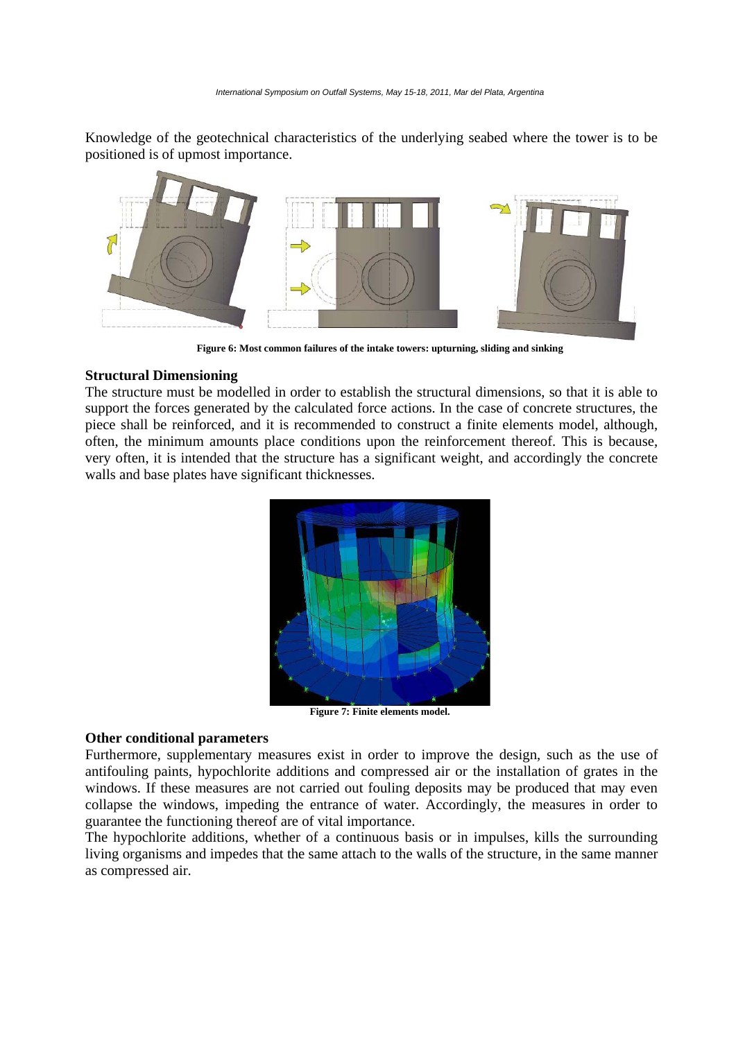Knowledge of the geotechnical characteristics of the underlying seabed where the tower is to be positioned is of upmost importance.



**Figure 6: Most common failures of the intake towers: upturning, sliding and sinking** 

#### **Structural Dimensioning**

The structure must be modelled in order to establish the structural dimensions, so that it is able to support the forces generated by the calculated force actions. In the case of concrete structures, the piece shall be reinforced, and it is recommended to construct a finite elements model, although, often, the minimum amounts place conditions upon the reinforcement thereof. This is because, very often, it is intended that the structure has a significant weight, and accordingly the concrete walls and base plates have significant thicknesses.



**Figure 7: Finite elements model.** 

#### **Other conditional parameters**

Furthermore, supplementary measures exist in order to improve the design, such as the use of antifouling paints, hypochlorite additions and compressed air or the installation of grates in the windows. If these measures are not carried out fouling deposits may be produced that may even collapse the windows, impeding the entrance of water. Accordingly, the measures in order to guarantee the functioning thereof are of vital importance.

The hypochlorite additions, whether of a continuous basis or in impulses, kills the surrounding living organisms and impedes that the same attach to the walls of the structure, in the same manner as compressed air.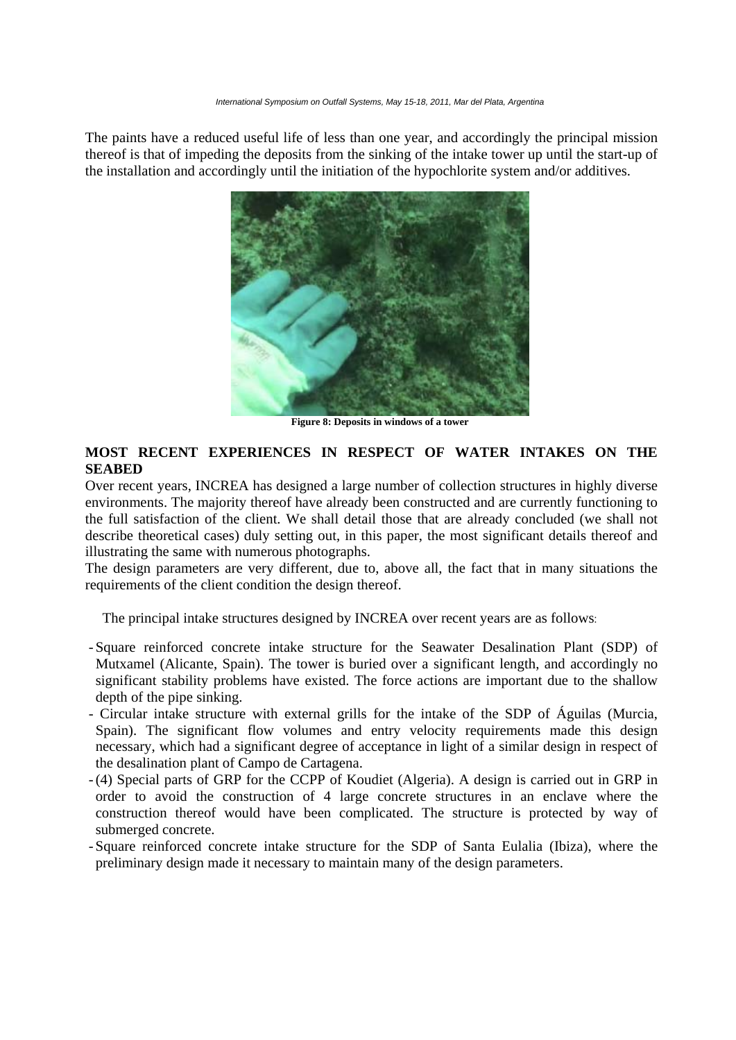The paints have a reduced useful life of less than one year, and accordingly the principal mission thereof is that of impeding the deposits from the sinking of the intake tower up until the start-up of the installation and accordingly until the initiation of the hypochlorite system and/or additives.



**Figure 8: Deposits in windows of a tower** 

# **MOST RECENT EXPERIENCES IN RESPECT OF WATER INTAKES ON THE SEABED**

Over recent years, INCREA has designed a large number of collection structures in highly diverse environments. The majority thereof have already been constructed and are currently functioning to the full satisfaction of the client. We shall detail those that are already concluded (we shall not describe theoretical cases) duly setting out, in this paper, the most significant details thereof and illustrating the same with numerous photographs.

The design parameters are very different, due to, above all, the fact that in many situations the requirements of the client condition the design thereof.

The principal intake structures designed by INCREA over recent years are as follows:

- Square reinforced concrete intake structure for the Seawater Desalination Plant (SDP) of Mutxamel (Alicante, Spain). The tower is buried over a significant length, and accordingly no significant stability problems have existed. The force actions are important due to the shallow depth of the pipe sinking.
- Circular intake structure with external grills for the intake of the SDP of Águilas (Murcia, Spain). The significant flow volumes and entry velocity requirements made this design necessary, which had a significant degree of acceptance in light of a similar design in respect of the desalination plant of Campo de Cartagena.
- (4) Special parts of GRP for the CCPP of Koudiet (Algeria). A design is carried out in GRP in order to avoid the construction of 4 large concrete structures in an enclave where the construction thereof would have been complicated. The structure is protected by way of submerged concrete.
- Square reinforced concrete intake structure for the SDP of Santa Eulalia (Ibiza), where the preliminary design made it necessary to maintain many of the design parameters.